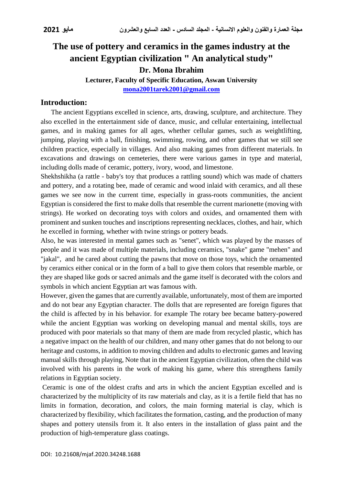# **The use of pottery and ceramics in the games industry at the ancient Egyptian civilization " An analytical study" Dr. Mona Ibrahim**

**Lecturer, Faculty of Specific Education, Aswan University**

**[mona2001tarek2001@gmail.com](mailto:mona2001tarek2001@gmail.com)**

## **Introduction:**

 The ancient Egyptians excelled in science, arts, drawing, sculpture, and architecture. They also excelled in the entertainment side of dance, music, and cellular entertaining, intellectual games, and in making games for all ages, whether cellular games, such as weightlifting, jumping, playing with a ball, finishing, swimming, rowing, and other games that we still see children practice, especially in villages. And also making games from different materials. In excavations and drawings on cemeteries, there were various games in type and material, including dolls made of ceramic, pottery, ivory, wood, and limestone.

Shekhshikha (a rattle - baby's toy that produces a rattling sound) which was made of chatters and pottery, and a rotating bee, made of ceramic and wood inlaid with ceramics, and all these games we see now in the current time, especially in grass-roots communities, the ancient Egyptian is considered the first to make dolls that resemble the current marionette (moving with strings). He worked on decorating toys with colors and oxides, and ornamented them with prominent and sunken touches and inscriptions representing necklaces, clothes, and hair, which he excelled in forming, whether with twine strings or pottery beads.

Also, he was interested in mental games such as "senet", which was played by the masses of people and it was made of multiple materials, including ceramics, "snake" game "mehen" and "jakal", and he cared about cutting the pawns that move on those toys, which the ornamented by ceramics either conical or in the form of a ball to give them colors that resemble marble, or they are shaped like gods or sacred animals and the game itself is decorated with the colors and symbols in which ancient Egyptian art was famous with.

However, given the games that are currently available, unfortunately, most of them are imported and do not bear any Egyptian character. The dolls that are represented are foreign figures that the child is affected by in his behavior. for example The rotary bee became battery-powered while the ancient Egyptian was working on developing manual and mental skills, toys are produced with poor materials so that many of them are made from recycled plastic, which has a negative impact on the health of our children, and many other games that do not belong to our heritage and customs, in addition to moving children and adults to electronic games and leaving manual skills through playing, Note that in the ancient Egyptian civilization, often the child was involved with his parents in the work of making his game, where this strengthens family relations in Egyptian society.

Ceramic is one of the oldest crafts and arts in which the ancient Egyptian excelled and is characterized by the multiplicity of its raw materials and clay, as it is a fertile field that has no limits in formation, decoration, and colors, the main forming material is clay, which is characterized by flexibility, which facilitates the formation, casting, and the production of many shapes and pottery utensils from it. It also enters in the installation of glass paint and the production of high-temperature glass coatings.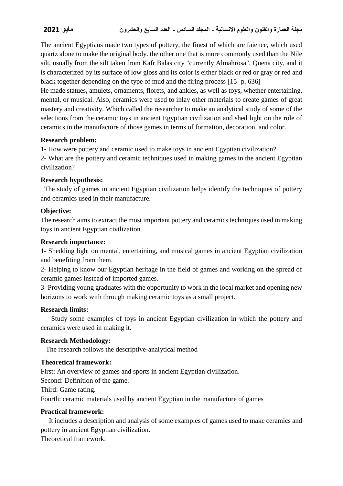The ancient Egyptians made two types of pottery, the finest of which are faience, which used quartz alone to make the original body. the other one that is more commonly used than the Nile silt, usually from the silt taken from Kafr Balas city "currently Almahrosa", Quena city, and it is characterized by its surface of low gloss and its color is either black or red or gray or red and black together depending on the type of mud and the firing process [15- p. 636]

He made statues, amulets, ornaments, florets, and ankles, as well as toys, whether entertaining, mental, or musical. Also, ceramics were used to inlay other materials to create games of great mastery and creativity. Which called the researcher to make an analytical study of some of the selections from the ceramic toys in ancient Egyptian civilization and shed light on the role of ceramics in the manufacture of those games in terms of formation, decoration, and color.

### **Research problem:**

1- How were pottery and ceramic used to make toys in ancient Egyptian civilization?

2- What are the pottery and ceramic techniques used in making games in the ancient Egyptian civilization?

### **Research hypothesis:**

 The study of games in ancient Egyptian civilization helps identify the techniques of pottery and ceramics used in their manufacture.

### **Objective:**

The research aims to extract the most important pottery and ceramics techniques used in making toys in ancient Egyptian civilization.

### **Research importance:**

1- Shedding light on mental, entertaining, and musical games in ancient Egyptian civilization and benefiting from them.

2- Helping to know our Egyptian heritage in the field of games and working on the spread of ceramic games instead of imported games.

3- Providing young graduates with the opportunity to work in the local market and opening new horizons to work with through making ceramic toys as a small project.

### **Research limits:**

Study some examples of toys in ancient Egyptian civilization in which the pottery and ceramics were used in making it.

### **Research Methodology:**

The research follows the descriptive-analytical method

### **Theoretical framework:**

First: An overview of games and sports in ancient Egyptian civilization.

Second: Definition of the game.

Third: Game rating.

Fourth: ceramic materials used by ancient Egyptian in the manufacture of games

### **Practical framework:**

It includes a description and analysis of some examples of games used to make ceramics and pottery in ancient Egyptian civilization.

Theoretical framework: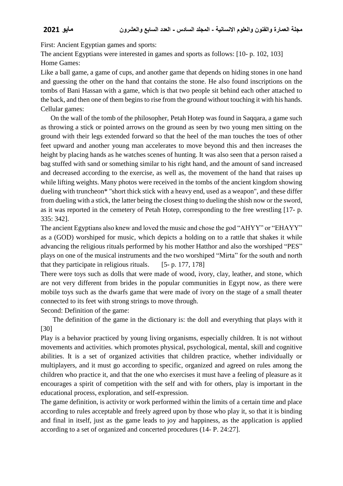First: Ancient Egyptian games and sports:

The ancient Egyptians were interested in games and sports as follows: [10- p. 102, 103] Home Games:

Like a ball game, a game of cups, and another game that depends on hiding stones in one hand and guessing the other on the hand that contains the stone. He also found inscriptions on the tombs of Bani Hassan with a game, which is that two people sit behind each other attached to the back, and then one of them begins to rise from the ground without touching it with his hands. Cellular games:

 On the wall of the tomb of the philosopher, Petah Hotep was found in Saqqara, a game such as throwing a stick or pointed arrows on the ground as seen by two young men sitting on the ground with their legs extended forward so that the heel of the man touches the toes of other feet upward and another young man accelerates to move beyond this and then increases the height by placing hands as he watches scenes of hunting. It was also seen that a person raised a bag stuffed with sand or something similar to his right hand, and the amount of sand increased and decreased according to the exercise, as well as, the movement of the hand that raises up while lifting weights. Many photos were received in the tombs of the ancient kingdom showing dueling with truncheon\* "short thick stick with a heavy end, used as a weapon", and these differ from dueling with a stick, the latter being the closest thing to dueling the shish now or the sword, as it was reported in the cemetery of Petah Hotep, corresponding to the free wrestling [17- p. 335: 342].

The ancient Egyptians also knew and loved the music and chose the god "AHYY" or "EHAYY" as a (GOD) worshiped for music, which depicts a holding on to a rattle that shakes it while advancing the religious rituals performed by his mother Hatthor and also the worshiped "PES" plays on one of the musical instruments and the two worshiped "Mirta" for the south and north that they participate in religious rituals. [5- p. 177, 178]

There were toys such as dolls that were made of wood, ivory, clay, leather, and stone, which are not very different from brides in the popular communities in Egypt now, as there were mobile toys such as the dwarfs game that were made of ivory on the stage of a small theater connected to its feet with strong strings to move through.

Second: Definition of the game:

 The definition of the game in the dictionary is: the doll and everything that plays with it [30]

Play is a behavior practiced by young living organisms, especially children. It is not without movements and activities. which promotes physical, psychological, mental, skill and cognitive abilities. It is a set of organized activities that children practice, whether individually or multiplayers, and it must go according to specific, organized and agreed on rules among the children who practice it, and that the one who exercises it must have a feeling of pleasure as it encourages a spirit of competition with the self and with for others, play is important in the educational process, exploration, and self-expression.

The game definition, is activity or work performed within the limits of a certain time and place according to rules acceptable and freely agreed upon by those who play it, so that it is binding and final in itself, just as the game leads to joy and happiness, as the application is applied according to a set of organized and concerted procedures (14- P. 24:27].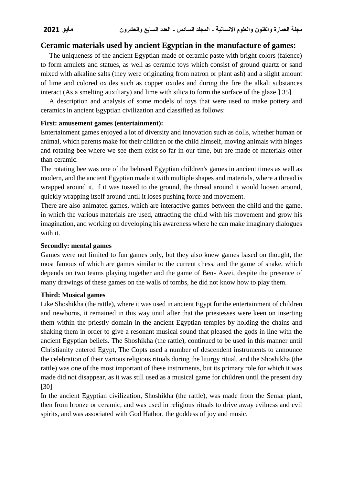## **Ceramic materials used by ancient Egyptian in the manufacture of games:**

 The uniqueness of the ancient Egyptian made of ceramic paste with bright colors (faience) to form amulets and statues, as well as ceramic toys which consist of ground quartz or sand mixed with alkaline salts (they were originating from natron or plant ash) and a slight amount of lime and colored oxides such as copper oxides and during the fire the alkali substances interact (As a smelting auxiliary) and lime with silica to form the surface of the glaze.] 35].

 A description and analysis of some models of toys that were used to make pottery and ceramics in ancient Egyptian civilization and classified as follows:

### **First: amusement games (entertainment):**

Entertainment games enjoyed a lot of diversity and innovation such as dolls, whether human or animal, which parents make for their children or the child himself, moving animals with hinges and rotating bee where we see them exist so far in our time, but are made of materials other than ceramic.

The rotating bee was one of the beloved Egyptian children's games in ancient times as well as modern, and the ancient Egyptian made it with multiple shapes and materials, where a thread is wrapped around it, if it was tossed to the ground, the thread around it would loosen around, quickly wrapping itself around until it loses pushing force and movement.

There are also animated games, which are interactive games between the child and the game, in which the various materials are used, attracting the child with his movement and grow his imagination, and working on developing his awareness where he can make imaginary dialogues with it.

### **Secondly: mental games**

Games were not limited to fun games only, but they also knew games based on thought, the most famous of which are games similar to the current chess, and the game of snake, which depends on two teams playing together and the game of Ben- Awei, despite the presence of many drawings of these games on the walls of tombs, he did not know how to play them.

### **Third: Musical games**

Like Shoshikha (the rattle), where it was used in ancient Egypt for the entertainment of children and newborns, it remained in this way until after that the priestesses were keen on inserting them within the priestly domain in the ancient Egyptian temples by holding the chains and shaking them in order to give a resonant musical sound that pleased the gods in line with the ancient Egyptian beliefs. The Shoshikha (the rattle), continued to be used in this manner until Christianity entered Egypt, The Copts used a number of descendent instruments to announce the celebration of their various religious rituals during the liturgy ritual, and the Shoshikha (the rattle) was one of the most important of these instruments, but its primary role for which it was made did not disappear, as it was still used as a musical game for children until the present day [30]

In the ancient Egyptian civilization, Shoshikha (the rattle), was made from the Semar plant, then from bronze or ceramic, and was used in religious rituals to drive away evilness and evil spirits, and was associated with God Hathor, the goddess of joy and music.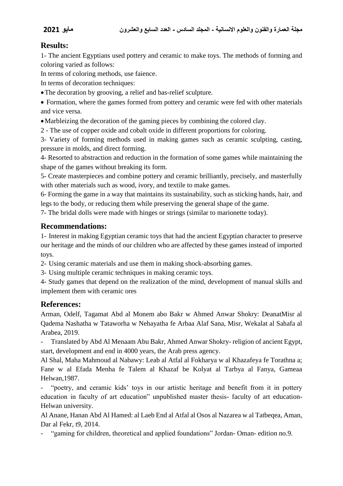## **Results:**

1- The ancient Egyptians used pottery and ceramic to make toys. The methods of forming and coloring varied as follows:

In terms of coloring methods, use faience.

In terms of decoration techniques:

The decoration by grooving, a relief and bas-relief sculpture.

 Formation, where the games formed from pottery and ceramic were fed with other materials and vice versa.

Marbleizing the decoration of the gaming pieces by combining the colored clay.

2 - The use of copper oxide and cobalt oxide in different proportions for coloring.

3- Variety of forming methods used in making games such as ceramic sculpting, casting, pressure in molds, and direct forming.

4- Resorted to abstraction and reduction in the formation of some games while maintaining the shape of the games without breaking its form.

5- Create masterpieces and combine pottery and ceramic brilliantly, precisely, and masterfully with other materials such as wood, ivory, and textile to make games.

6- Forming the game in a way that maintains its sustainability, such as sticking hands, hair, and legs to the body, or reducing them while preserving the general shape of the game.

7- The bridal dolls were made with hinges or strings (similar to marionette today).

## **Recommendations:**

1- Interest in making Egyptian ceramic toys that had the ancient Egyptian character to preserve our heritage and the minds of our children who are affected by these games instead of imported toys.

2- Using ceramic materials and use them in making shock-absorbing games.

3- Using multiple ceramic techniques in making ceramic toys.

4- Study games that depend on the realization of the mind, development of manual skills and implement them with ceramic ores

## **References:**

Arman, Odelf, Tagamat Abd al Monem abo Bakr w Ahmed Anwar Shokry: DeanatMisr al Qadema Nashatha w Tataworha w Nehayatha fe Arbaa Alaf Sana, Misr, Wekalat al Sahafa al Arabea, 2019.

- Translated by Abd Al Menaam Abu Bakr, Ahmed Anwar Shokry- religion of ancient Egypt, start, development and end in 4000 years, the Arab press agency.

Al Shal, Maha Mahmoud al Nabawy: Leab al Atfal al Fokharya w al Khazafeya fe Torathna a; Fane w al Efada Menha fe Talem al Khazaf be Kolyat al Tarbya al Fanya, Gameaa Helwan,1987.

"poetry, and ceramic kids' toys in our artistic heritage and benefit from it in pottery education in faculty of art education" unpublished master thesis- faculty of art education-Helwan university.

Al Anane, Hanan Abd Al Hamed: al Laeb End al Atfal al Osos al Nazarea w al Tatbeqea, Aman, Dar al Fekr, t9, 2014.

"gaming for children, theoretical and applied foundations" Jordan- Oman- edition no.9.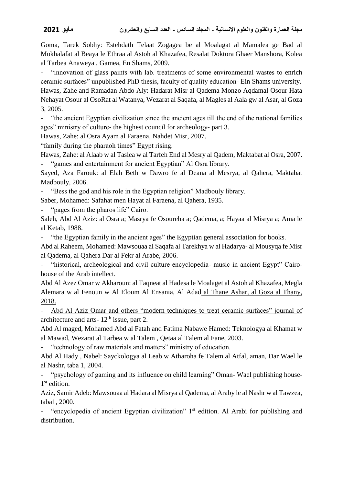Goma, Tarek Sobhy: Estehdath Telaat Zogagea be al Moalagat al Mamalea ge Bad al Mokhalafat al Beaya le Ethraa al Astoh al Khazafea, Resalat Doktora Ghaer Manshora, Kolea al Tarbea Anaweya , Gamea, En Shams, 2009.

- "innovation of glass paints with lab. treatments of some environmental wastes to enrich ceramic surfaces" unpublished PhD thesis, faculty of quality education- Ein Shams university. Hawas, Zahe and Ramadan Abdo Aly: Hadarat Misr al Qadema Monzo Aqdamal Osour Hata Nehayat Osour al OsoRat al Watanya, Wezarat al Saqafa, al Magles al Aala gw al Asar, al Goza 3, 2005.

- "the ancient Egyptian civilization since the ancient ages till the end of the national families ages" ministry of culture- the highest council for archeology- part 3.

Hawas, Zahe: al Osra Ayam al Faraena, Nahdet Misr, 2007.

"family during the pharaoh times" Egypt rising.

Hawas, Zahe: al Alaab w al Taslea w al Tarfeh End al Mesry al Qadem, Maktabat al Osra, 2007.

"games and entertainment for ancient Egyptian" Al Osra library.

Sayed, Aza Farouk: al Elah Beth w Dawro fe al Deana al Mesrya, al Qahera, Maktabat Madbouly, 2006.

"Bess the god and his role in the Egyptian religion" Madbouly library.

Saber, Mohamed: Safahat men Hayat al Faraena, al Qahera, 1935.

"pages from the pharos life" Cairo.

Saleh, Abd Al Aziz: al Osra a; Masrya fe Osoureha a; Qadema, a; Hayaa al Misrya a; Ama le al Ketab, 1988.

"the Egyptian family in the ancient ages" the Egyptian general association for books.

Abd al Raheem, Mohamed: Mawsouaa al Saqafa al Tarekhya w al Hadarya- al Mousyqa fe Misr al Qadema, al Qahera Dar al Fekr al Arabe, 2006.

- "historical, archeological and civil culture encyclopedia- music in ancient Egypt" Cairohouse of the Arab intellect.

Abd Al Azez Omar w Akharoun: al Taqneat al Hadesa le Moalaget al Astoh al Khazafea, Megla Alemara w al Fenoun w Al Eloum Al Ensania, Al Adad al Thane Ashar, al Goza al Thany, 2018.

Abd Al Aziz Omar and others "modern techniques to treat ceramic surfaces" journal of architecture and arts-  $12<sup>th</sup>$  issue, part 2.

Abd Al maged, Mohamed Abd al Fatah and Fatima Nabawe Hamed: Teknologya al Khamat w al Mawad, Wezarat al Tarbea w al Talem , Qetaa al Talem al Fane, 2003.

- "technology of raw materials and matters" ministry of education.

Abd Al Hady , Nabel: Sayckologya al Leab w Atharoha fe Talem al Atfal, aman, Dar Wael le al Nashr, taba 1, 2004.

"psychology of gaming and its influence on child learning" Oman- Wael publishing house-1<sup>st</sup> edition.

Aziz, Samir Adeb: Mawsouaa al Hadara al Misrya al Qadema, al Araby le al Nashr w al Tawzea, taba1, 2000.

- "encyclopedia of ancient Egyptian civilization" 1st edition. Al Arabi for publishing and distribution.